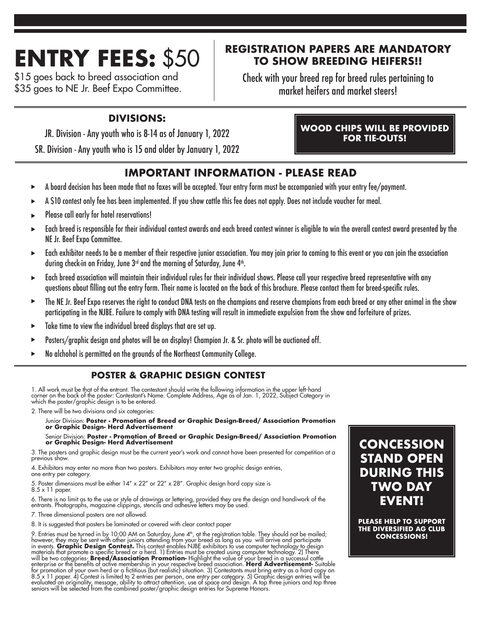# **ENTRY FEES:** \$50

\$15 goes back to breed association and \$35 goes to NE Jr. Beef Expo Committee.

# **REGISTRATION PAPERS ARE MANDATORY TO SHOW BREEDING HEIFERS!!**

Check with your breed rep for breed rules pertaining to market heifers and market steers!

# **DIVISIONS:**

JR. Division - Any youth who is 8-14 as of January 1, 2022

SR. Division - Any youth who is 15 and older by January 1, 2022

# **IMPORTANT INFORMATION - PLEASE READ**

- A board decision has been made that no faxes will be accepted. Your entry form must be accompanied with your entry fee/payment.
- A \$10 contest only fee has been implemented. If you show cattle this fee does not apply. Does not include voucher for meal.
- Please call early for hotel reservations!
- Each breed is responsible for their individual contest awards and each breed contest winner is eligible to win the overall contest award presented by the NE Jr. Beef Expo Committee.
- Each exhibitor needs to be a member of their respective junior association. You may join prior to coming to this event or you can join the association during check-in on Friday, June  $3<sup>rd</sup>$  and the morning of Saturday, June  $4<sup>th</sup>$ .
- Each breed association will maintain their individual rules for their individual shows. Please call your respective breed representative with any questions about filling out the entry form. Their name is located on the back of this brochure. Please contact them for breed-specific rules.
- The NE Jr. Beef Expo reserves the right to conduct DNA tests on the champions and reserve champions from each breed or any other animal in the show participating in the NJBE. Failure to comply with DNA testing will result in immediate expulsion from the show and forfeiture of prizes.
- Take time to view the individual breed displays that are set up.
- Posters/graphic design and photos will be on display! Champion Jr. & Sr. photo will be auctioned off.
- No alchohol is permitted on the grounds of the Northeast Community College. ь

# **POSTER & GRAPHIC DESIGN CONTEST**

1. All work must be that of the entrant. The contestant should write the following information in the upper left-hand<br>corner on the back of the poster: Contestant's Name. Complete Address, Age as of Jan. 1, 2022, Subject C

2. There will be two divisions and six categories:

# Junior Division: **Poster - Promotion of Breed or Graphic Design-Breed/ Association Promotion or Graphic Design- Herd Advertisement**

# Senior Division: **Poster - Promotion of Breed or Graphic Design-Breed/ Association Promotion or Graphic Design- Herd Advertisement**

3. The posters and graphic design must be the current year's work and cannot have been presented for competition at a previous show.

4. Exhibitors may enter no more than two posters. Exhibitors may enter two graphic design entries, one entry per category.

5. Poster dimensions must be either  $14'' \times 22''$  or  $22'' \times 28''$ . Graphic design hard copy size is 8.5 x 11 paper.

6. There is no limit as to the use or style of drawings or lettering, provided they are the design and handiwork of the entrants. Photographs, magazine clippings, stencils and adhesive letters may be used.

7. Three dimensional posters are not allowed.

8. It is suggested that posters be laminated or covered with clear contact paper

9. Entries must be turned in by 10:00 AM on Saturday, June 4<sup>th</sup>, at the registration table. They should not be mailed;<br>however, they may be sent with other juniors attending from your breed as long as you will arrive and

# **CONCESSION STAND OPEN DURING THIS TWO DAY EVENT!**

**PLEASE HELP TO SUPPORT THE DIVERSIFIED AG CLUB CONCESSIONS!**

## **WOOD CHIPS WILL BE PROVIDED FOR TIE-OUTS!**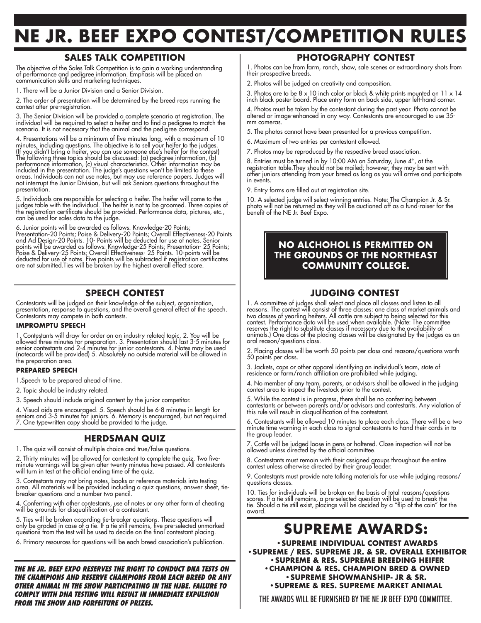# **NE JR. BEEF EXPO CONTEST/COMPETITION RULES**

## **SALES TALK COMPETITION**

The objective of the Sales Talk Competition is to gain a working understanding of performance and pedigree information. Emphasis will be placed on communication skills and marketing techniques.

1. There will be a Junior Division and a Senior Division.

2. The order of presentation will be determined by the breed reps running the contest after pre-registration.

3. The Senior Division will be provided a complete scenario at registration. The individual will be required to select a heifer and to find a pedigree to match the scenario. It is not necessary that the animal and the pedigree correspond.

4. Presentations will be a minimum of five minutes long, with a maximum of 10 minutes, including questions. The objective is to sell your heifer to the judges. (If you didn't bring a heifer, you can use someone else's heifer for the contest) The following three topics should be discussed: (a) pedigree information, (b) performance information, (c) visual characteristics. Other information may be included in the presentation. The judge's questions won't be limited to these areas. Individuals can not use notes, but may use reference papers. Judges will not interrupt the Junior Division, but will ask Seniors questions throughout the presentation.

5. Individuals are responsible for selecting a heifer. The heifer will come to the judges table with the individual. The heifer is not to be groomed. Three copies of the registration certificate should be provided. Performance data, pictures, etc., can be used for sales data to the judge.

6. Junior points will be awarded as follows: Knowledge-20 Points; Presentation-20 Points; Poise & Delivery-20 Points; Overall Effectiveness-20 Points and Ad Design-20 Points. 10- Points will be deducted for use of notes. Senior points will be awarded as follows: Knowledge-25 Points; Presentation- 25 Points; Poise & Delivery-25 Points; Overall Effectiveness- 25 Points. 10-points will be

deducted for use of notes. Five points will be subtracted if registration certificates are not submitted.Ties will be broken by the highest overall effect score.

## **SPEECH CONTEST**

Contestants will be judged on their knowledge of the subject, organization, presentation, response to questions, and the overall general effect of the speech. Contestants may compete in both contests.

#### **IMPROMPTU SPEECH**

1. Contestants will draw for order on an industry related topic. 2. You will be allowed three minutes for preparation. 3. Presentation should last 3-5 minutes for senior contestants and 2-4 minutes for junior contestants. 4. Notes may be used (notecards will be provided) 5. Absolutely no outside material will be allowed in the preparation area.

#### **PREPARED SPEECH**

1.Speech to be prepared ahead of time.

2. Topic should be industry related.

3. Speech should include original content by the junior competitor.

4. Visual aids are encouraged. 5. Speech should be 6-8 minutes in length for seniors and 3-5 minutes for juniors. 6. Memory is encouraged, but not required. 7. One typewritten copy should be provided to the judge.

#### **HERDSMAN QUIZ**

1. The quiz will consist of multiple choice and true/false questions.

2. Thirty minutes will be allowed for contestant to complete the quiz. Two fiveminute warnings will be given after twenty minutes have passed. All contestants will turn in test at the official ending time of the quiz.

3. Contestants may not bring notes, books or reference materials into testing area. All materials will be provided including a quiz questions, answer sheet, tiebreaker questions and a number two pencil.

4. Conferring with other contestants, use of notes or any other form of cheating will be grounds for disqualification of a contestant.

5. Ties will be broken according tie-breaker questions. These questions will only be graded in case of a tie. If a tie still remains, five pre-selected unmarked questions from the test will be used to decide on the final contestant placing.

6. Primary resources for questions will be each breed association's publication.

**THE NE JR. BEEF EXPO RESERVES THE RIGHT TO CONDUCT DNA TESTS ON THE CHAMPIONS AND RESERVE CHAMPIONS FROM EACH BREED OR ANY OTHER ANIMAL IN THE SHOW PARTICIPATING IN THE NJBE. FAILURE TO COMPLY WITH DNA TESTING WILL RESULT IN IMMEDIATE EXPULSION FROM THE SHOW AND FORFEITURE OF PRIZES.**

#### **PHOTOGRAPHY CONTEST**

1. Photos can be from farm, ranch, show, sale scenes or extraordinary shots from their prospective breeds.

2. Photos will be judged on creativity and composition.

3. Photos are to be 8 x 10 inch color or black & white prints mounted on 11 x 14 inch black poster board. Place entry form on back side, upper left-hand corner.

4. Photos must be taken by the contestant during the past year. Photo cannot be altered or image-enhanced in any way. Contestants are encouraged to use 35 mm cameras.

5. The photos cannot have been presented for a previous competition.

- 6. Maximum of two entries per contestant allowed.
- 7. Photos may be reproduced by the respective breed association.

8. Entries must be turned in by 10:00 AM on Saturday, June 4th, at the registration table.They should not be mailed; however, they may be sent with other juniors attending from your breed as long as you will arrive and participate in events.

9. Entry forms are filled out at registration site.

10. A selected judge will select winning entries. Note: The Champion Jr. & Sr. photo will not be returned as they will be auctioned off as a fund-raiser for the benefit of the NE Jr. Beef Expo.

## **NO ALCHOHOL IS PERMITTED ON THE GROUNDS OF THE NORTHEAST COMMUNITY COLLEGE.**

#### **JUDGING CONTEST**

1. A committee of judges shall select and place all classes and listen to all reasons. The contest will consist of three classes: one class of market animals and two classes of yearling heifers. All cattle are subject to being selected for this contest. Performance data will be used when available. (Note: The committee reserves the right to substitute classes if necessary due to the availability of animals.) One class of the placing classes will be designated by the judges as an oral reason/questions class.

2. Placing classes will be worth 50 points per class and reasons/questions worth 50 points per class.

3. Jackets, caps or other apparel identifying an individual's team, state of residence or farm/ranch affiliation are prohibited while judging.

4. No member of any team, parents, or advisors shall be allowed in the judging contest area to inspect the livestock prior to the contest.

5. While the contest is in progress, there shall be no conferring between contestants or between parents and/or advisors and contestants. Any violation of this rule will result in disqualification of the contestant.

6. Contestants will be allowed 10 minutes to place each class. There will be a two minute time warning in each class to signal contestants to hand their cards in to the group leader.

7. Cattle will be judged loose in pens or haltered. Close inspection will not be allowed unless directed by the official committee.

8. Contestants must remain with their assigned groups throughout the entire contest unless otherwise directed by their group leader.

9. Contestants must provide note talking materials for use while judging reasons/ questions classes.

10. Ties for individuals will be broken on the basis of total reasons/questions scores. If a tie still remains, a pre-selected question will be used to break the tie. Should a tie still exist, placings will be decided by a "flip of the coin" for the award.

# **SUPREME AWARDS:**

 **•SUPREME INDIVIDUAL CONTEST AWARDS •SUPREME / RES. SUPREME JR. & SR. OVERALL EXHIBITOR •SUPREME & RES. SUPREME BREEDING HEIFER •CHAMPION & RES. CHAMPION BRED & OWNED •SUPREME SHOWMANSHIP- JR & SR.**

**•SUPREME & RES. SUPREME MARKET ANIMAL**

THE AWARDS WILL BE FURNISHED BY THE NE JR BEEF EXPO COMMITTEE.